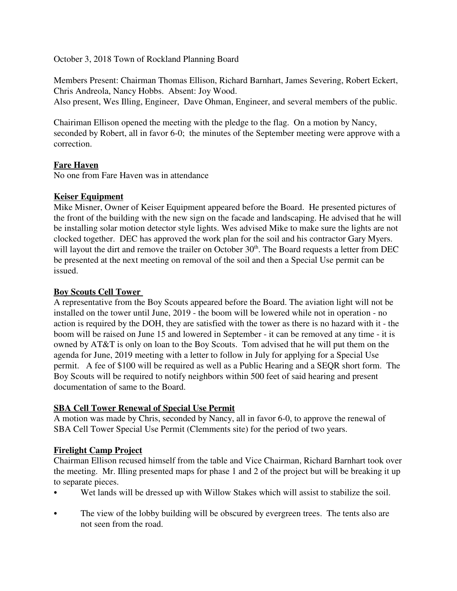October 3, 2018 Town of Rockland Planning Board

Members Present: Chairman Thomas Ellison, Richard Barnhart, James Severing, Robert Eckert, Chris Andreola, Nancy Hobbs. Absent: Joy Wood.

Also present, Wes Illing, Engineer, Dave Ohman, Engineer, and several members of the public.

Chairiman Ellison opened the meeting with the pledge to the flag. On a motion by Nancy, seconded by Robert, all in favor 6-0; the minutes of the September meeting were approve with a correction.

# **Fare Haven**

No one from Fare Haven was in attendance

## **Keiser Equipment**

Mike Misner, Owner of Keiser Equipment appeared before the Board. He presented pictures of the front of the building with the new sign on the facade and landscaping. He advised that he will be installing solar motion detector style lights. Wes advised Mike to make sure the lights are not clocked together. DEC has approved the work plan for the soil and his contractor Gary Myers. will layout the dirt and remove the trailer on October  $30<sup>th</sup>$ . The Board requests a letter from DEC be presented at the next meeting on removal of the soil and then a Special Use permit can be issued.

## **Boy Scouts Cell Tower**

A representative from the Boy Scouts appeared before the Board. The aviation light will not be installed on the tower until June, 2019 - the boom will be lowered while not in operation - no action is required by the DOH, they are satisfied with the tower as there is no hazard with it - the boom will be raised on June 15 and lowered in September - it can be removed at any time - it is owned by AT&T is only on loan to the Boy Scouts. Tom advised that he will put them on the agenda for June, 2019 meeting with a letter to follow in July for applying for a Special Use permit. A fee of \$100 will be required as well as a Public Hearing and a SEQR short form. The Boy Scouts will be required to notify neighbors within 500 feet of said hearing and present documentation of same to the Board.

## **SBA Cell Tower Renewal of Special Use Permit**

A motion was made by Chris, seconded by Nancy, all in favor 6-0, to approve the renewal of SBA Cell Tower Special Use Permit (Clemments site) for the period of two years.

## **Firelight Camp Project**

Chairman Ellison recused himself from the table and Vice Chairman, Richard Barnhart took over the meeting. Mr. Illing presented maps for phase 1 and 2 of the project but will be breaking it up to separate pieces.

- Wet lands will be dressed up with Willow Stakes which will assist to stabilize the soil.
- The view of the lobby building will be obscured by evergreen trees. The tents also are not seen from the road.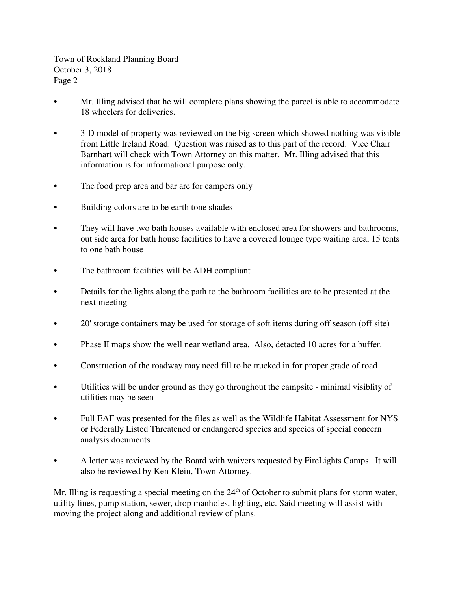Town of Rockland Planning Board October 3, 2018 Page 2

- Mr. Illing advised that he will complete plans showing the parcel is able to accommodate 18 wheelers for deliveries.
- 3-D model of property was reviewed on the big screen which showed nothing was visible from Little Ireland Road. Question was raised as to this part of the record. Vice Chair Barnhart will check with Town Attorney on this matter. Mr. Illing advised that this information is for informational purpose only.
- The food prep area and bar are for campers only
- Building colors are to be earth tone shades
- They will have two bath houses available with enclosed area for showers and bathrooms, out side area for bath house facilities to have a covered lounge type waiting area, 15 tents to one bath house
- The bathroom facilities will be ADH compliant
- Details for the lights along the path to the bathroom facilities are to be presented at the next meeting
- C 20' storage containers may be used for storage of soft items during off season (off site)
- Phase II maps show the well near wetland area. Also, detacted 10 acres for a buffer.
- Construction of the roadway may need fill to be trucked in for proper grade of road
- C Utilities will be under ground as they go throughout the campsite minimal visiblity of utilities may be seen
- Full EAF was presented for the files as well as the Wildlife Habitat Assessment for NYS or Federally Listed Threatened or endangered species and species of special concern analysis documents
- C A letter was reviewed by the Board with waivers requested by FireLights Camps. It will also be reviewed by Ken Klein, Town Attorney.

Mr. Illing is requesting a special meeting on the 24<sup>th</sup> of October to submit plans for storm water, utility lines, pump station, sewer, drop manholes, lighting, etc. Said meeting will assist with moving the project along and additional review of plans.